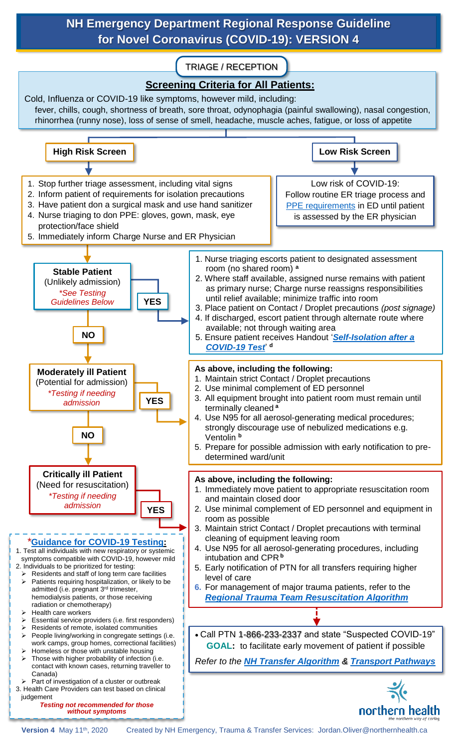### **NH Emergency Department Regional Response Guideline for Novel Coronavirus (COVID-19): VERSION 4**